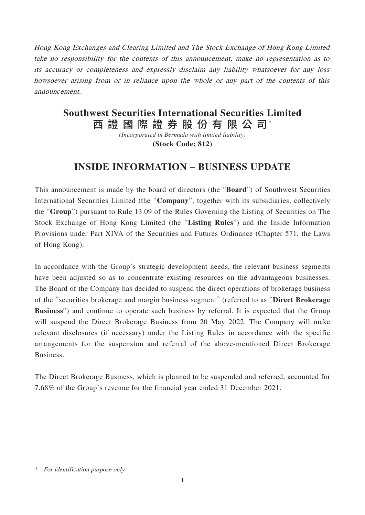Hong Kong Exchanges and Clearing Limited and The Stock Exchange of Hong Kong Limited take no responsibility for the contents of this announcement, make no representation as to its accuracy or completeness and expressly disclaim any liability whatsoever for any loss howsoever arising from or in reliance upon the whole or any part of the contents of this announcement.

## 西 證 國 際 證 券 股 份 有 限 公 司\* **Southwest Securities International Securities Limited**

*(Incorporated in Bermuda with limited liability)* **(Stock Code: 812)**

## **INSIDE INFORMATION – BUSINESS UPDATE**

This announcement is made by the board of directors (the "**Board**") of Southwest Securities International Securities Limited (the "**Company**", together with its subsidiaries, collectively the "**Group**") pursuant to Rule 13.09 of the Rules Governing the Listing of Securities on The Stock Exchange of Hong Kong Limited (the "**Listing Rules**") and the Inside Information Provisions under Part XIVA of the Securities and Futures Ordinance (Chapter 571, the Laws of Hong Kong).

In accordance with the Group's strategic development needs, the relevant business segments have been adjusted so as to concentrate existing resources on the advantageous businesses. The Board of the Company has decided to suspend the direct operations of brokerage business of the "securities brokerage and margin business segment" (referred to as "**Direct Brokerage Business**") and continue to operate such business by referral. It is expected that the Group will suspend the Direct Brokerage Business from 20 May 2022. The Company will make relevant disclosures (if necessary) under the Listing Rules in accordance with the specific arrangements for the suspension and referral of the above-mentioned Direct Brokerage Business.

The Direct Brokerage Business, which is planned to be suspended and referred, accounted for 7.68% of the Group's revenue for the financial year ended 31 December 2021.

<sup>\*</sup> For identification purpose only